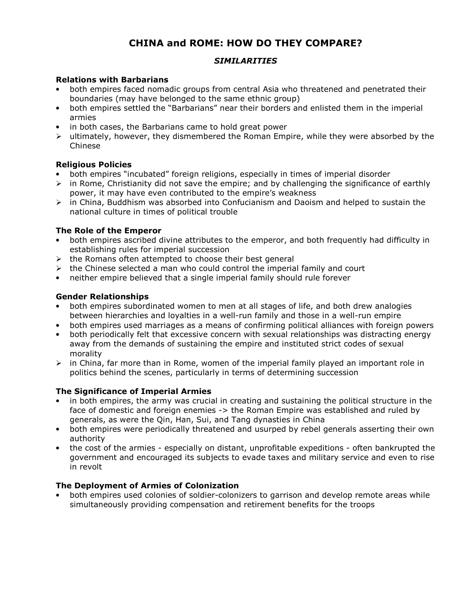## **SIMILARITIES**

## **Relations with Barbarians**

- both empires faced nomadic groups from central Asia who threatened and penetrated their boundaries (may have belonged to the same ethnic group)
- both empires settled the "Barbarians" near their borders and enlisted them in the imperial  $\bullet$ armies
- in both cases, the Barbarians came to hold great power
- $\triangleright$  ultimately, however, they dismembered the Roman Empire, while they were absorbed by the Chinese

## **Religious Policies**

- both empires "incubated" foreign religions, especially in times of imperial disorder
- > in Rome, Christianity did not save the empire; and by challenging the significance of earthly power, it may have even contributed to the empire's weakness
- $\triangleright$  in China, Buddhism was absorbed into Confucianism and Daoism and helped to sustain the national culture in times of political trouble

## The Role of the Emperor

- both empires ascribed divine attributes to the emperor, and both frequently had difficulty in establishing rules for imperial succession
- $\triangleright$  the Romans often attempted to choose their best general
- $\triangleright$  the Chinese selected a man who could control the imperial family and court
- neither empire believed that a single imperial family should rule forever

## **Gender Relationships**

- both empires subordinated women to men at all stages of life, and both drew analogies between hierarchies and loyalties in a well-run family and those in a well-run empire
- both empires used marriages as a means of confirming political alliances with foreign powers
- both periodically felt that excessive concern with sexual relationships was distracting energy away from the demands of sustaining the empire and instituted strict codes of sexual morality
- $\triangleright$  in China, far more than in Rome, women of the imperial family played an important role in politics behind the scenes, particularly in terms of determining succession

## The Significance of Imperial Armies

- in both empires, the army was crucial in creating and sustaining the political structure in the face of domestic and foreign enemies -> the Roman Empire was established and ruled by generals, as were the Qin, Han, Sui, and Tang dynasties in China
- both empires were periodically threatened and usurped by rebel generals asserting their own authority
- the cost of the armies especially on distant, unprofitable expeditions often bankrupted the government and encouraged its subjects to evade taxes and military service and even to rise in revolt

## The Deployment of Armies of Colonization

both empires used colonies of soldier-colonizers to garrison and develop remote areas while simultaneously providing compensation and retirement benefits for the troops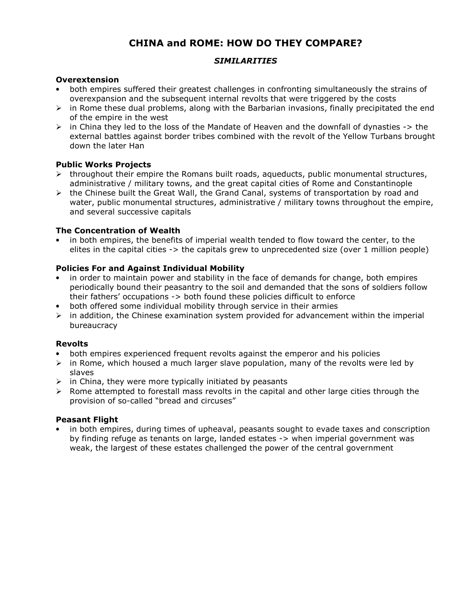## **SIMILARITIES**

## **Overextension**

- both empires suffered their greatest challenges in confronting simultaneously the strains of overexpansion and the subsequent internal revolts that were triggered by the costs
- $\triangleright$  in Rome these dual problems, along with the Barbarian invasions, finally precipitated the end of the empire in the west
- > in China they led to the loss of the Mandate of Heaven and the downfall of dynasties -> the external battles against border tribes combined with the revolt of the Yellow Turbans brought down the later Han

## **Public Works Projects**

- $\triangleright$  throughout their empire the Romans built roads, aqueducts, public monumental structures, administrative / military towns, and the great capital cities of Rome and Constantinople
- $\triangleright$  the Chinese built the Great Wall, the Grand Canal, systems of transportation by road and water, public monumental structures, administrative / military towns throughout the empire, and several successive capitals

## **The Concentration of Wealth**

in both empires, the benefits of imperial wealth tended to flow toward the center, to the elites in the capital cities -> the capitals grew to unprecedented size (over 1 million people)

## **Policies For and Against Individual Mobility**

- in order to maintain power and stability in the face of demands for change, both empires periodically bound their peasantry to the soil and demanded that the sons of soldiers follow their fathers' occupations -> both found these policies difficult to enforce
- both offered some individual mobility through service in their armies
- $\triangleright$  in addition, the Chinese examination system provided for advancement within the imperial bureaucracy

## **Revolts**

- both empires experienced frequent revolts against the emperor and his policies
- $\triangleright$  in Rome, which housed a much larger slave population, many of the revolts were led by slaves
- $\triangleright$  in China, they were more typically initiated by peasants
- $\triangleright$  Rome attempted to forestall mass revolts in the capital and other large cities through the provision of so-called "bread and circuses"

## **Peasant Flight**

in both empires, during times of upheaval, peasants sought to evade taxes and conscription by finding refuge as tenants on large, landed estates -> when imperial government was weak, the largest of these estates challenged the power of the central government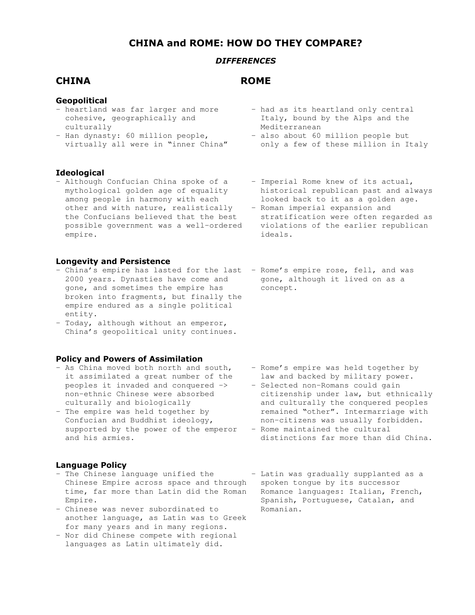## **DIFFERENCES**

#### **CHINA** INA R

#### **Geopolitical**

- culturally Mediterranean
- Han dynasty: 60 million people, also about 60 million people but

## Ideological

- Although Confucian China spoke of a - Imperial Rome knew of its actual, among people in harmony with each looked back to it as a golden age. other and with nature, realistically - Roman imperial expansion and empire.  $ideals.$ 

#### **Longevity and Persistence**

- 2000 years. Dynasties have come and gone, although it lived on as a gone, and sometimes the empire has concept. broken into fragments, but finally the empire endured as a single political entity.
- Today, although without an emperor, China's geopolitical unity continues.

#### **Policy and Powers of Assimilation**

- As China moved both north and south, Rome's empire was held together by<br>it assimilated a great number of the law and backed by military power. it assimilated a great number of the peoples it invaded and conquered -> - Selected non-Romans could gain
- Confucian and Buddhist ideology, non-citizens was usually forbidden. supported by the power of the emperor - Rome maintained the cultural

- **Language Policy**<br>- The Chinese language unified the Chinese Empire across space and through spoken tongue by its successor time, far more than Latin did the Roman Romance languages: Italian, French, Empire. Spanish, Portuguese, Catalan, and
- Chinese was never subordinated to Romanian. another language, as Latin was to Greek for many years and in many regions.
- Nor did Chinese compete with regional languages as Latin ultimately did.

## **ROME**

- heartland was far larger and more had as its heartland only central cohesive, geographically and  $I$  Italy, bound by the Alps and the
	- virtually all were in "inner China" only a few of these million in Italy
	- mythological golden age of equality historical republican past and always
	- the Confucians believed that the best stratification were often regarded as possible government was a well-ordered violations of the earlier republican
- China's empire has lasted for the last Rome's empire rose, fell, and was

- 
- non-ethnic Chinese were absorbed citizenship under law, but ethnically culturally and biologically and culturally the conquered peoples - The empire was held together by remained "other". Intermarriage with
	- and his armies. distinctions far more than did China.
		- Latin was gradually supplanted as a